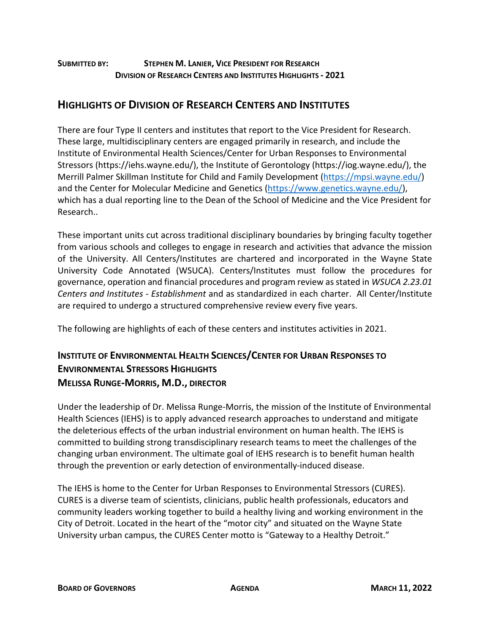#### **SUBMITTED BY: STEPHEN M. LANIER, VICE PRESIDENT FOR RESEARCH DIVISION OF RESEARCH CENTERS AND INSTITUTES HIGHLIGHTS - 2021**

# **HIGHLIGHTS OF DIVISION OF RESEARCH CENTERS AND INSTITUTES**

There are four Type II centers and institutes that report to the Vice President for Research. These large, multidisciplinary centers are engaged primarily in research, and include the Institute of Environmental Health Sciences/Center for Urban Responses to Environmental Stressors (https://iehs.wayne.edu/), the Institute of Gerontology (https://iog.wayne.edu/), the Merrill Palmer Skillman Institute for Child and Family Development [\(https://mpsi.wayne.edu/\)](https://mpsi.wayne.edu/) and the Center for Molecular Medicine and Genetics [\(https://www.genetics.wayne.edu/\)](https://www.genetics.wayne.edu/), which has a dual reporting line to the Dean of the School of Medicine and the Vice President for Research..

These important units cut across traditional disciplinary boundaries by bringing faculty together from various schools and colleges to engage in research and activities that advance the mission of the University. All Centers/Institutes are chartered and incorporated in the Wayne State University Code Annotated (WSUCA). Centers/Institutes must follow the procedures for governance, operation and financial procedures and program review as stated in *WSUCA 2.23.01 Centers and Institutes - Establishment* and as standardized in each charter. All Center/Institute are required to undergo a structured comprehensive review every five years.

The following are highlights of each of these centers and institutes activities in 2021.

# **INSTITUTE OF ENVIRONMENTAL HEALTH SCIENCES/CENTER FOR URBAN RESPONSES TO ENVIRONMENTAL STRESSORS HIGHLIGHTS MELISSA RUNGE-MORRIS, M.D., DIRECTOR**

Under the leadership of Dr. Melissa Runge-Morris, the mission of the Institute of Environmental Health Sciences (IEHS) is to apply advanced research approaches to understand and mitigate the deleterious effects of the urban industrial environment on human health. The IEHS is committed to building strong transdisciplinary research teams to meet the challenges of the changing urban environment. The ultimate goal of IEHS research is to benefit human health through the prevention or early detection of environmentally-induced disease.

The IEHS is home to the Center for Urban Responses to Environmental Stressors (CURES). CURES is a diverse team of scientists, clinicians, public health professionals, educators and community leaders working together to build a healthy living and working environment in the City of Detroit. Located in the heart of the "motor city" and situated on the Wayne State University urban campus, the CURES Center motto is "Gateway to a Healthy Detroit."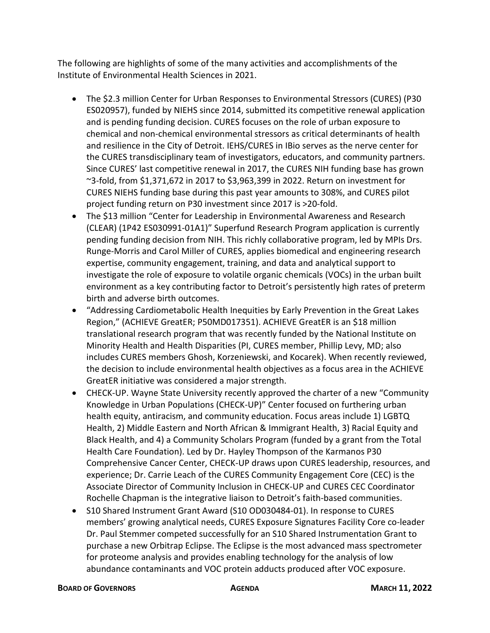The following are highlights of some of the many activities and accomplishments of the Institute of Environmental Health Sciences in 2021.

- The \$2.3 million Center for Urban Responses to Environmental Stressors (CURES) (P30 ES020957), funded by NIEHS since 2014, submitted its competitive renewal application and is pending funding decision. CURES focuses on the role of urban exposure to chemical and non-chemical environmental stressors as critical determinants of health and resilience in the City of Detroit. IEHS/CURES in IBio serves as the nerve center for the CURES transdisciplinary team of investigators, educators, and community partners. Since CURES' last competitive renewal in 2017, the CURES NIH funding base has grown ~3-fold, from \$1,371,672 in 2017 to \$3,963,399 in 2022. Return on investment for CURES NIEHS funding base during this past year amounts to 308%, and CURES pilot project funding return on P30 investment since 2017 is >20-fold.
- The \$13 million "Center for Leadership in Environmental Awareness and Research (CLEAR) (1P42 ES030991-01A1)" Superfund Research Program application is currently pending funding decision from NIH. This richly collaborative program, led by MPIs Drs. Runge-Morris and Carol Miller of CURES, applies biomedical and engineering research expertise, community engagement, training, and data and analytical support to investigate the role of exposure to volatile organic chemicals (VOCs) in the urban built environment as a key contributing factor to Detroit's persistently high rates of preterm birth and adverse birth outcomes.
- "Addressing Cardiometabolic Health Inequities by Early Prevention in the Great Lakes Region," (ACHIEVE GreatER; P50MD017351). ACHIEVE GreatER is an \$18 million translational research program that was recently funded by the National Institute on Minority Health and Health Disparities (PI, CURES member, Phillip Levy, MD; also includes CURES members Ghosh, Korzeniewski, and Kocarek). When recently reviewed, the decision to include environmental health objectives as a focus area in the ACHIEVE GreatER initiative was considered a major strength.
- CHECK-UP. Wayne State University recently approved the charter of a new "Community Knowledge in Urban Populations (CHECK-UP)" Center focused on furthering urban health equity, antiracism, and community education. Focus areas include 1) LGBTQ Health, 2) Middle Eastern and North African & Immigrant Health, 3) Racial Equity and Black Health, and 4) a Community Scholars Program (funded by a grant from the Total Health Care Foundation). Led by Dr. Hayley Thompson of the Karmanos P30 Comprehensive Cancer Center, CHECK-UP draws upon CURES leadership, resources, and experience; Dr. Carrie Leach of the CURES Community Engagement Core (CEC) is the Associate Director of Community Inclusion in CHECK-UP and CURES CEC Coordinator Rochelle Chapman is the integrative liaison to Detroit's faith-based communities.
- S10 Shared Instrument Grant Award (S10 OD030484-01). In response to CURES members' growing analytical needs, CURES Exposure Signatures Facility Core co-leader Dr. Paul Stemmer competed successfully for an S10 Shared Instrumentation Grant to purchase a new Orbitrap Eclipse. The Eclipse is the most advanced mass spectrometer for proteome analysis and provides enabling technology for the analysis of low abundance contaminants and VOC protein adducts produced after VOC exposure.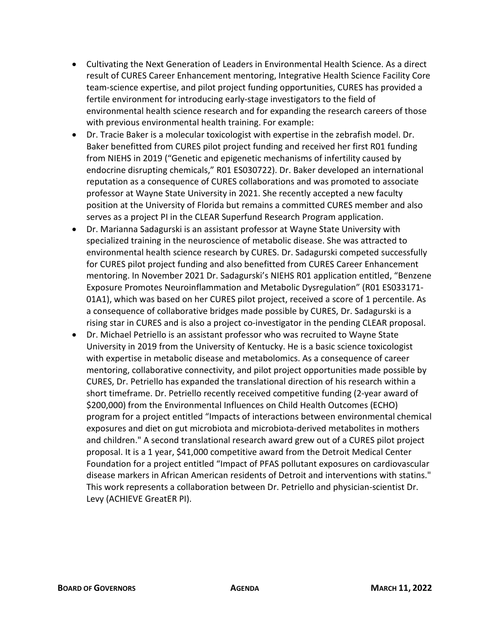- Cultivating the Next Generation of Leaders in Environmental Health Science. As a direct result of CURES Career Enhancement mentoring, Integrative Health Science Facility Core team-science expertise, and pilot project funding opportunities, CURES has provided a fertile environment for introducing early-stage investigators to the field of environmental health science research and for expanding the research careers of those with previous environmental health training. For example:
- Dr. Tracie Baker is a molecular toxicologist with expertise in the zebrafish model. Dr. Baker benefitted from CURES pilot project funding and received her first R01 funding from NIEHS in 2019 ("Genetic and epigenetic mechanisms of infertility caused by endocrine disrupting chemicals," R01 ES030722). Dr. Baker developed an international reputation as a consequence of CURES collaborations and was promoted to associate professor at Wayne State University in 2021. She recently accepted a new faculty position at the University of Florida but remains a committed CURES member and also serves as a project PI in the CLEAR Superfund Research Program application.
- Dr. Marianna Sadagurski is an assistant professor at Wayne State University with specialized training in the neuroscience of metabolic disease. She was attracted to environmental health science research by CURES. Dr. Sadagurski competed successfully for CURES pilot project funding and also benefitted from CURES Career Enhancement mentoring. In November 2021 Dr. Sadagurski's NIEHS R01 application entitled, "Benzene Exposure Promotes Neuroinflammation and Metabolic Dysregulation" (R01 ES033171- 01A1), which was based on her CURES pilot project, received a score of 1 percentile. As a consequence of collaborative bridges made possible by CURES, Dr. Sadagurski is a rising star in CURES and is also a project co-investigator in the pending CLEAR proposal.
- Dr. Michael Petriello is an assistant professor who was recruited to Wayne State University in 2019 from the University of Kentucky. He is a basic science toxicologist with expertise in metabolic disease and metabolomics. As a consequence of career mentoring, collaborative connectivity, and pilot project opportunities made possible by CURES, Dr. Petriello has expanded the translational direction of his research within a short timeframe. Dr. Petriello recently received competitive funding (2-year award of \$200,000) from the Environmental Influences on Child Health Outcomes (ECHO) program for a project entitled "Impacts of interactions between environmental chemical exposures and diet on gut microbiota and microbiota-derived metabolites in mothers and children." A second translational research award grew out of a CURES pilot project proposal. It is a 1 year, \$41,000 competitive award from the Detroit Medical Center Foundation for a project entitled "Impact of PFAS pollutant exposures on cardiovascular disease markers in African American residents of Detroit and interventions with statins." This work represents a collaboration between Dr. Petriello and physician-scientist Dr. Levy (ACHIEVE GreatER PI).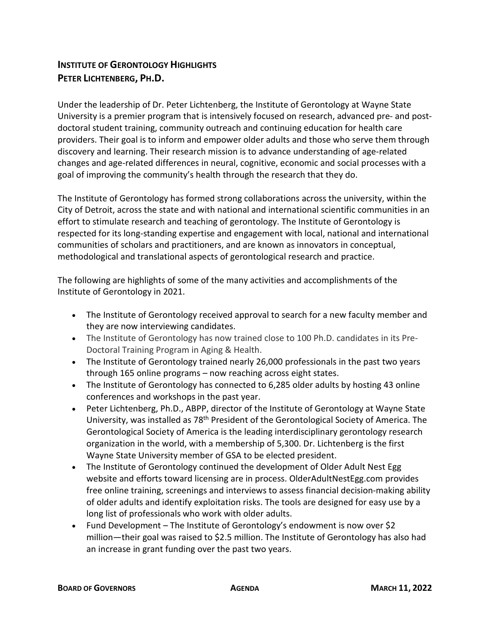### **INSTITUTE OF GERONTOLOGY HIGHLIGHTS PETER LICHTENBERG, PH.D.**

Under the leadership of Dr. Peter Lichtenberg, the Institute of Gerontology at Wayne State University is a premier program that is intensively focused on research, advanced pre- and postdoctoral student training, community outreach and continuing education for health care providers. Their goal is to inform and empower older adults and those who serve them through discovery and learning. Their research mission is to advance understanding of age-related changes and age-related differences in neural, cognitive, economic and social processes with a goal of improving the community's health through the research that they do.

The Institute of Gerontology has formed strong collaborations across the university, within the City of Detroit, across the state and with national and international scientific communities in an effort to stimulate research and teaching of gerontology. The Institute of Gerontology is respected for its long-standing expertise and engagement with local, national and international communities of scholars and practitioners, and are known as innovators in conceptual, methodological and translational aspects of gerontological research and practice.

The following are highlights of some of the many activities and accomplishments of the Institute of Gerontology in 2021.

- The Institute of Gerontology received approval to search for a new faculty member and they are now interviewing candidates.
- The Institute of Gerontology has now trained close to 100 Ph.D. candidates in its Pre-Doctoral Training Program in Aging & Health.
- The Institute of Gerontology trained nearly 26,000 professionals in the past two years through 165 online programs – now reaching across eight states.
- The Institute of Gerontology has connected to 6,285 older adults by hosting 43 online conferences and workshops in the past year.
- Peter Lichtenberg, Ph.D., ABPP, director of the Institute of Gerontology at Wayne State University, was installed as 78th President of the Gerontological Society of America. The Gerontological Society of America is the leading interdisciplinary gerontology research organization in the world, with a membership of 5,300. Dr. Lichtenberg is the first Wayne State University member of GSA to be elected president.
- The Institute of Gerontology continued the development of Older Adult Nest Egg website and efforts toward licensing are in process. OlderAdultNestEgg.com provides free online training, screenings and interviews to assess financial decision-making ability of older adults and identify exploitation risks. The tools are designed for easy use by a long list of professionals who work with older adults.
- Fund Development The Institute of Gerontology's endowment is now over \$2 million—their goal was raised to \$2.5 million. The Institute of Gerontology has also had an increase in grant funding over the past two years.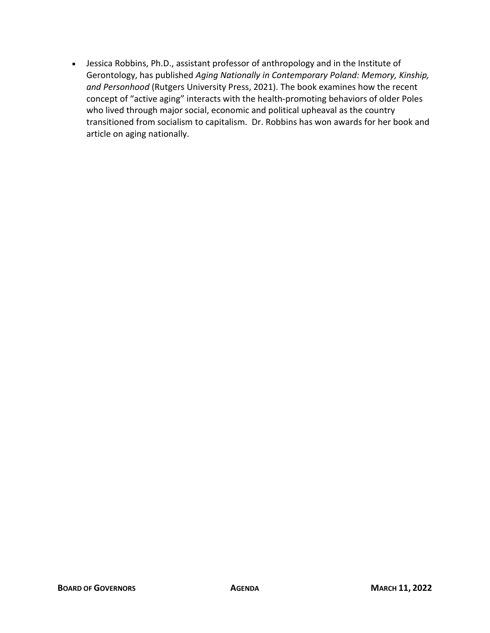• Jessica Robbins, Ph.D., assistant professor of anthropology and in the Institute of Gerontology, has published *Aging Nationally in Contemporary Poland: Memory, Kinship, and Personhood* (Rutgers University Press, 2021). The book examines how the recent concept of "active aging" interacts with the health-promoting behaviors of older Poles who lived through major social, economic and political upheaval as the country transitioned from socialism to capitalism. Dr. Robbins has won awards for her book and article on aging nationally.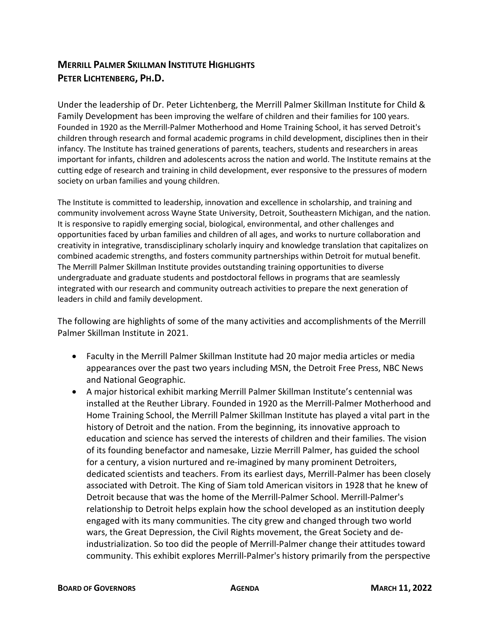### **MERRILL PALMER SKILLMAN INSTITUTE HIGHLIGHTS PETER LICHTENBERG, PH.D.**

Under the leadership of Dr. Peter Lichtenberg, the Merrill Palmer Skillman Institute for Child & Family Development has been improving the welfare of children and their families for 100 years. Founded in 1920 as the Merrill-Palmer Motherhood and Home Training School, it has served Detroit's children through research and formal academic programs in child development, disciplines then in their infancy. The Institute has trained generations of parents, teachers, students and researchers in areas important for infants, children and adolescents across the nation and world. The Institute remains at the cutting edge of research and training in child development, ever responsive to the pressures of modern society on urban families and young children.

The Institute is committed to leadership, innovation and excellence in scholarship, and training and community involvement across Wayne State University, Detroit, Southeastern Michigan, and the nation. It is responsive to rapidly emerging social, biological, environmental, and other challenges and opportunities faced by urban families and children of all ages, and works to nurture collaboration and creativity in integrative, transdisciplinary scholarly inquiry and knowledge translation that capitalizes on combined academic strengths, and fosters community partnerships within Detroit for mutual benefit. The Merrill Palmer Skillman Institute provides outstanding training opportunities to diverse undergraduate and graduate students and postdoctoral fellows in programs that are seamlessly integrated with our research and community outreach activities to prepare the next generation of leaders in child and family development.

The following are highlights of some of the many activities and accomplishments of the Merrill Palmer Skillman Institute in 2021.

- Faculty in the Merrill Palmer Skillman Institute had 20 major media articles or media appearances over the past two years including MSN, the Detroit Free Press, NBC News and National Geographic.
- A major historical exhibit marking Merrill Palmer Skillman Institute's centennial was installed at the Reuther Library. Founded in 1920 as the Merrill-Palmer Motherhood and Home Training School, the Merrill Palmer Skillman Institute has played a vital part in the history of Detroit and the nation. From the beginning, its innovative approach to education and science has served the interests of children and their families. The vision of its founding benefactor and namesake, Lizzie Merrill Palmer, has guided the school for a century, a vision nurtured and re-imagined by many prominent Detroiters, dedicated scientists and teachers. From its earliest days, Merrill-Palmer has been closely associated with Detroit. The King of Siam told American visitors in 1928 that he knew of Detroit because that was the home of the Merrill-Palmer School. Merrill-Palmer's relationship to Detroit helps explain how the school developed as an institution deeply engaged with its many communities. The city grew and changed through two world wars, the Great Depression, the Civil Rights movement, the Great Society and deindustrialization. So too did the people of Merrill-Palmer change their attitudes toward community. This exhibit explores Merrill-Palmer's history primarily from the perspective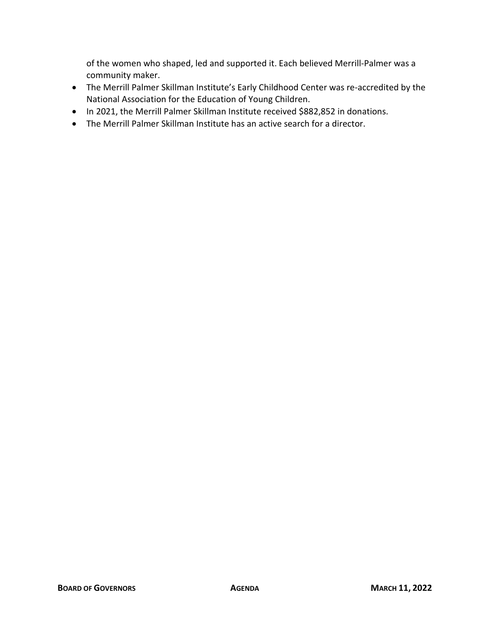of the women who shaped, led and supported it. Each believed Merrill-Palmer was a community maker.

- The Merrill Palmer Skillman Institute's Early Childhood Center was re-accredited by the National Association for the Education of Young Children.
- In 2021, the Merrill Palmer Skillman Institute received \$882,852 in donations.
- The Merrill Palmer Skillman Institute has an active search for a director.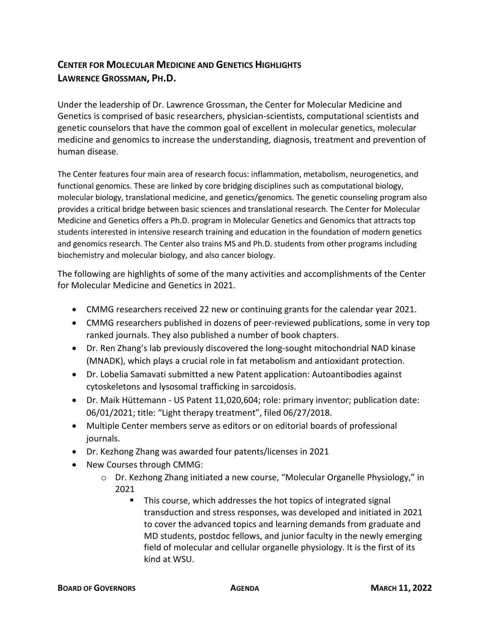### **CENTER FOR MOLECULAR MEDICINE AND GENETICS HIGHLIGHTS LAWRENCE GROSSMAN, PH.D.**

Under the leadership of Dr. Lawrence Grossman, the Center for Molecular Medicine and Genetics is comprised of basic researchers, physician-scientists, computational scientists and genetic counselors that have the common goal of excellent in molecular genetics, molecular medicine and genomics to increase the understanding, diagnosis, treatment and prevention of human disease.

The Center features four main area of research focus: inflammation, metabolism, neurogenetics, and functional genomics. These are linked by core bridging disciplines such as computational biology, molecular biology, translational medicine, and genetics/genomics. The genetic counseling program also provides a critical bridge between basic sciences and translational research. The Center for Molecular Medicine and Genetics offers a Ph.D. program in Molecular Genetics and Genomics that attracts top students interested in intensive research training and education in the foundation of modern genetics and genomics research. The Center also trains MS and Ph.D. students from other programs including biochemistry and molecular biology, and also cancer biology.

The following are highlights of some of the many activities and accomplishments of the Center for Molecular Medicine and Genetics in 2021.

- CMMG researchers received 22 new or continuing grants for the calendar year 2021.
- CMMG researchers published in dozens of peer-reviewed publications, some in very top ranked journals. They also published a number of book chapters.
- Dr. Ren Zhang's lab previously discovered the long-sought mitochondrial NAD kinase (MNADK), which plays a crucial role in fat metabolism and antioxidant protection.
- Dr. Lobelia Samavati submitted a new Patent application: Autoantibodies against cytoskeletons and lysosomal trafficking in sarcoidosis.
- Dr. Maik Hüttemann US Patent 11,020,604; role: primary inventor; publication date: 06/01/2021; title: "Light therapy treatment", filed 06/27/2018.
- Multiple Center members serve as editors or on editorial boards of professional journals.
- Dr. Kezhong Zhang was awarded four patents/licenses in 2021
- New Courses through CMMG:
	- o Dr. Kezhong Zhang initiated a new course, "Molecular Organelle Physiology," in 2021
		- **This course, which addresses the hot topics of integrated signal** transduction and stress responses, was developed and initiated in 2021 to cover the advanced topics and learning demands from graduate and MD students, postdoc fellows, and junior faculty in the newly emerging field of molecular and cellular organelle physiology. It is the first of its kind at WSU.